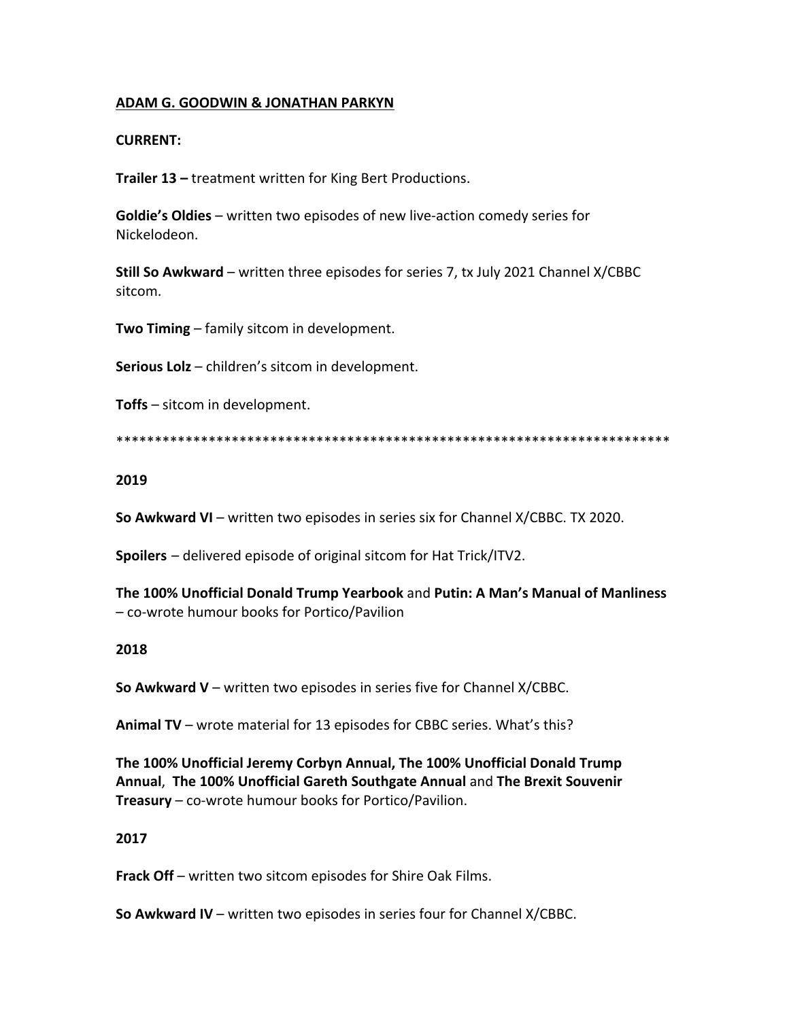## **ADAM G. GOODWIN & JONATHAN PARKYN**

## **CURRENT:**

**Trailer 13 –** treatment written for King Bert Productions.

**Goldie's Oldies** – written two episodes of new live-action comedy series for Nickelodeon.

**Still So Awkward** – written three episodes for series 7, tx July 2021 Channel X/CBBC sitcom.

**Two Timing** – family sitcom in development.

**Serious Lolz** – children's sitcom in development.

**Toffs** – sitcom in development.

\*\*\*\*\*\*\*\*\*\*\*\*\*\*\*\*\*\*\*\*\*\*\*\*\*\*\*\*\*\*\*\*\*\*\*\*\*\*\*\*\*\*\*\*\*\*\*\*\*\*\*\*\*\*\*\*\*\*\*\*\*\*\*\*\*\*\*\*\*\*\*\*

## **2019**

**So Awkward VI** – written two episodes in series six for Channel X/CBBC. TX 2020.

**Spoilers** – delivered episode of original sitcom for Hat Trick/ITV2.

**The 100% Unofficial Donald Trump Yearbook** and **Putin: A Man's Manual of Manliness** – co-wrote humour books for Portico/Pavilion

#### **2018**

**So Awkward V** – written two episodes in series five for Channel X/CBBC.

**Animal TV** – wrote material for 13 episodes for CBBC series. What's this?

**The 100% Unofficial Jeremy Corbyn Annual, The 100% Unofficial Donald Trump Annual**, **The 100% Unofficial Gareth Southgate Annual** and **The Brexit Souvenir Treasury** – co-wrote humour books for Portico/Pavilion.

#### **2017**

**Frack Off** – written two sitcom episodes for Shire Oak Films.

**So Awkward IV** – written two episodes in series four for Channel X/CBBC.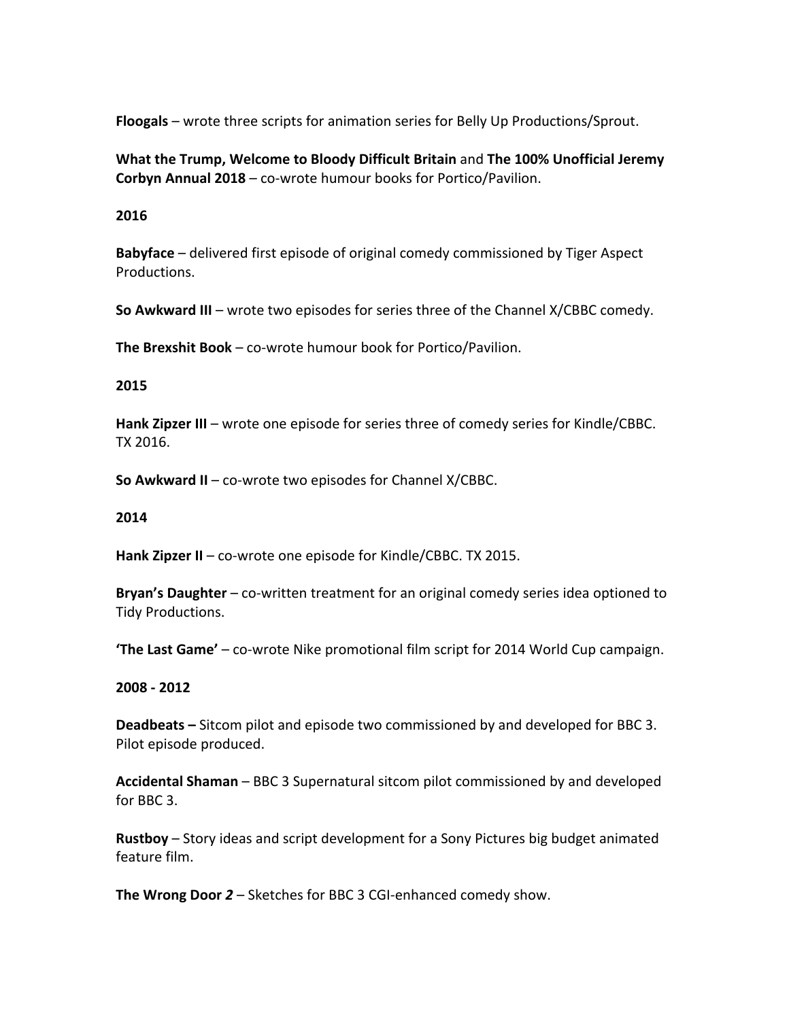**Floogals** – wrote three scripts for animation series for Belly Up Productions/Sprout.

**What the Trump, Welcome to Bloody Difficult Britain** and **The 100% Unofficial Jeremy Corbyn Annual 2018** – co-wrote humour books for Portico/Pavilion.

## **2016**

**Babyface** – delivered first episode of original comedy commissioned by Tiger Aspect Productions.

**So Awkward III** – wrote two episodes for series three of the Channel X/CBBC comedy.

**The Brexshit Book** – co-wrote humour book for Portico/Pavilion.

# **2015**

**Hank Zipzer III** – wrote one episode for series three of comedy series for Kindle/CBBC. TX 2016.

**So Awkward II** – co-wrote two episodes for Channel X/CBBC.

## **2014**

**Hank Zipzer II** – co-wrote one episode for Kindle/CBBC. TX 2015.

**Bryan's Daughter** – co-written treatment for an original comedy series idea optioned to Tidy Productions.

**'The Last Game'** – co-wrote Nike promotional film script for 2014 World Cup campaign.

## **2008 - 2012**

**Deadbeats –** Sitcom pilot and episode two commissioned by and developed for BBC 3. Pilot episode produced.

**Accidental Shaman** – BBC 3 Supernatural sitcom pilot commissioned by and developed for BBC 3.

**Rustboy** – Story ideas and script development for a Sony Pictures big budget animated feature film.

**The Wrong Door** *2* – Sketches for BBC 3 CGI-enhanced comedy show.